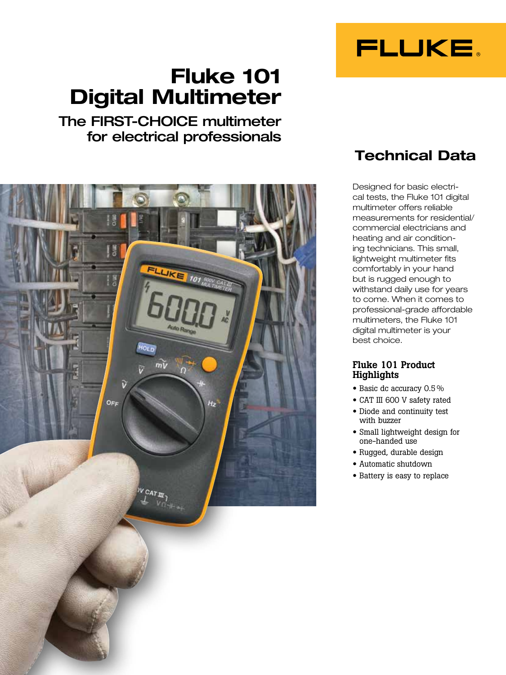# Fluke 101 Digital Multimeter

## The FIRST-CHOICE multimeter for electrical professionals



# Technical Data

FLUKE.

Designed for basic electrical tests, the Fluke 101 digital multimeter offers reliable measurements for residential/ commercial electricians and heating and air conditioning technicians. This small, lightweight multimeter fits comfortably in your hand but is rugged enough to withstand daily use for years to come. When it comes to professional-grade affordable multimeters, the Fluke 101 digital multimeter is your best choice.

#### Fluke 101 Product **Highlights**

- Basic dc accuracy 0.5 %
- CAT III 600 V safety rated
- Diode and continuity test with buzzer
- Small lightweight design for one-handed use
- Rugged, durable design
- Automatic shutdown
- Battery is easy to replace